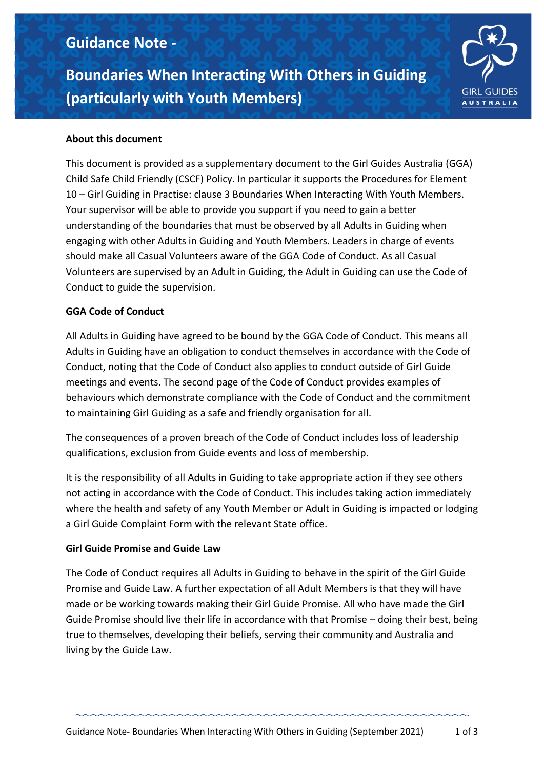# **Guidance Note -**

**Boundaries When Interacting With Others in Guiding (particularly with Youth Members)**



# **About this document**

This document is provided as a supplementary document to the Girl Guides Australia (GGA) Child Safe Child Friendly (CSCF) Policy. In particular it supports the Procedures for Element 10 – Girl Guiding in Practise: clause 3 Boundaries When Interacting With Youth Members. Your supervisor will be able to provide you support if you need to gain a better understanding of the boundaries that must be observed by all Adults in Guiding when engaging with other Adults in Guiding and Youth Members. Leaders in charge of events should make all Casual Volunteers aware of the GGA Code of Conduct. As all Casual Volunteers are supervised by an Adult in Guiding, the Adult in Guiding can use the Code of Conduct to guide the supervision.

## **GGA Code of Conduct**

All Adults in Guiding have agreed to be bound by the GGA Code of Conduct. This means all Adults in Guiding have an obligation to conduct themselves in accordance with the Code of Conduct, noting that the Code of Conduct also applies to conduct outside of Girl Guide meetings and events. The second page of the Code of Conduct provides examples of behaviours which demonstrate compliance with the Code of Conduct and the commitment to maintaining Girl Guiding as a safe and friendly organisation for all.

The consequences of a proven breach of the Code of Conduct includes loss of leadership qualifications, exclusion from Guide events and loss of membership.

It is the responsibility of all Adults in Guiding to take appropriate action if they see others not acting in accordance with the Code of Conduct. This includes taking action immediately where the health and safety of any Youth Member or Adult in Guiding is impacted or lodging a Girl Guide Complaint Form with the relevant State office.

#### **Girl Guide Promise and Guide Law**

The Code of Conduct requires all Adults in Guiding to behave in the spirit of the Girl Guide Promise and Guide Law. A further expectation of all Adult Members is that they will have made or be working towards making their Girl Guide Promise. All who have made the Girl Guide Promise should live their life in accordance with that Promise – doing their best, being true to themselves, developing their beliefs, serving their community and Australia and living by the Guide Law.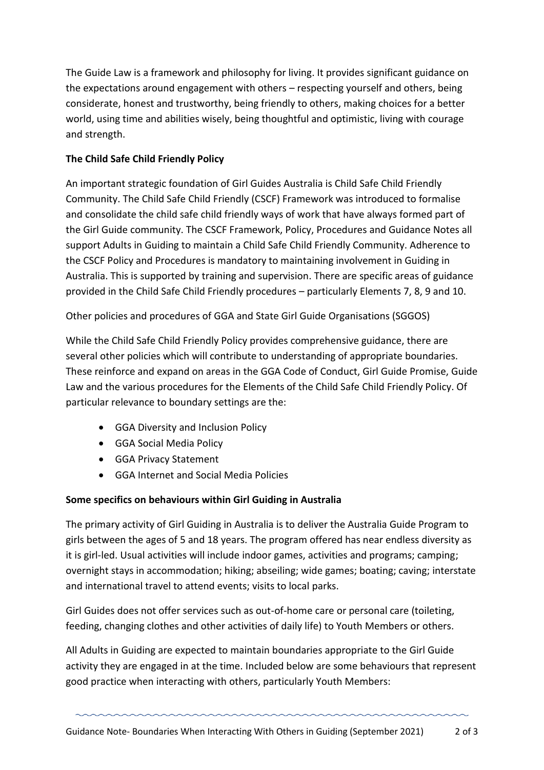The Guide Law is a framework and philosophy for living. It provides significant guidance on the expectations around engagement with others – respecting yourself and others, being considerate, honest and trustworthy, being friendly to others, making choices for a better world, using time and abilities wisely, being thoughtful and optimistic, living with courage and strength.

## **The Child Safe Child Friendly Policy**

An important strategic foundation of Girl Guides Australia is Child Safe Child Friendly Community. The Child Safe Child Friendly (CSCF) Framework was introduced to formalise and consolidate the child safe child friendly ways of work that have always formed part of the Girl Guide community. The CSCF Framework, Policy, Procedures and Guidance Notes all support Adults in Guiding to maintain a Child Safe Child Friendly Community. Adherence to the CSCF Policy and Procedures is mandatory to maintaining involvement in Guiding in Australia. This is supported by training and supervision. There are specific areas of guidance provided in the Child Safe Child Friendly procedures – particularly Elements 7, 8, 9 and 10.

Other policies and procedures of GGA and State Girl Guide Organisations (SGGOS)

While the Child Safe Child Friendly Policy provides comprehensive guidance, there are several other policies which will contribute to understanding of appropriate boundaries. These reinforce and expand on areas in the GGA Code of Conduct, Girl Guide Promise, Guide Law and the various procedures for the Elements of the Child Safe Child Friendly Policy. Of particular relevance to boundary settings are the:

- GGA Diversity and Inclusion Policy
- GGA Social Media Policy
- GGA Privacy Statement
- GGA Internet and Social Media Policies

## **Some specifics on behaviours within Girl Guiding in Australia**

The primary activity of Girl Guiding in Australia is to deliver the Australia Guide Program to girls between the ages of 5 and 18 years. The program offered has near endless diversity as it is girl-led. Usual activities will include indoor games, activities and programs; camping; overnight stays in accommodation; hiking; abseiling; wide games; boating; caving; interstate and international travel to attend events; visits to local parks.

Girl Guides does not offer services such as out-of-home care or personal care (toileting, feeding, changing clothes and other activities of daily life) to Youth Members or others.

All Adults in Guiding are expected to maintain boundaries appropriate to the Girl Guide activity they are engaged in at the time. Included below are some behaviours that represent good practice when interacting with others, particularly Youth Members: